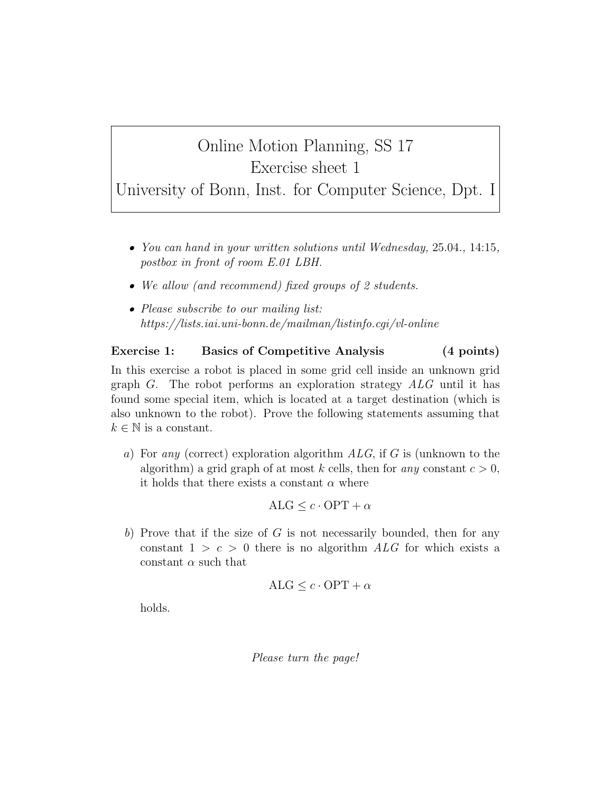## Online Motion Planning, SS 17 Exercise sheet 1

University of Bonn, Inst. for Computer Science, Dpt. I

- You can hand in your written solutions until Wednesday, 25.04., 14:15, postbox in front of room E.01 LBH.
- We allow (and recommend) fixed groups of 2 students.
- Please subscribe to our mailing list: https://lists.iai.uni-bonn.de/mailman/listinfo.cgi/vl-online

## Exercise 1: Basics of Competitive Analysis (4 points)

In this exercise a robot is placed in some grid cell inside an unknown grid graph  $G$ . The robot performs an exploration strategy  $ALG$  until it has found some special item, which is located at a target destination (which is also unknown to the robot). Prove the following statements assuming that  $k \in \mathbb{N}$  is a constant.

a) For any (correct) exploration algorithm  $ALG$ , if G is (unknown to the algorithm) a grid graph of at most k cells, then for any constant  $c > 0$ , it holds that there exists a constant  $\alpha$  where

$$
ALG \leq c \cdot OPT + \alpha
$$

b) Prove that if the size of  $G$  is not necessarily bounded, then for any constant  $1 > c > 0$  there is no algorithm ALG for which exists a constant  $\alpha$  such that

$$
ALG \leq c \cdot OPT + \alpha
$$

holds.

Please turn the page!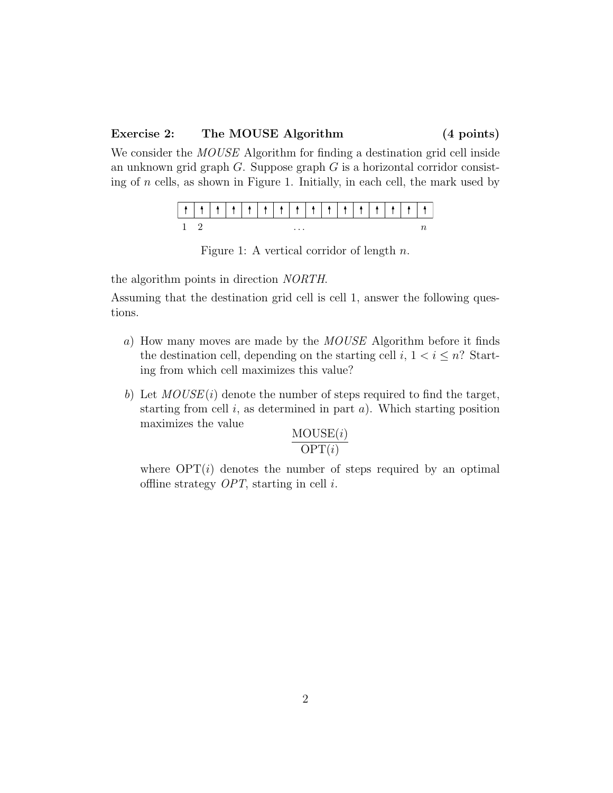## Exercise 2: The MOUSE Algorithm (4 points)

We consider the *MOUSE* Algorithm for finding a destination grid cell inside an unknown grid graph  $G$ . Suppose graph  $G$  is a horizontal corridor consisting of n cells, as shown in Figure 1. Initially, in each cell, the mark used by

|  |  |  | $\cdots$ |  |  |  |  |
|--|--|--|----------|--|--|--|--|

Figure 1: A vertical corridor of length n.

the algorithm points in direction NORTH.

Assuming that the destination grid cell is cell 1, answer the following questions.

- a) How many moves are made by the MOUSE Algorithm before it finds the destination cell, depending on the starting cell i,  $1 < i \leq n$ ? Starting from which cell maximizes this value?
- b) Let  $MOUSE(i)$  denote the number of steps required to find the target, starting from cell  $i$ , as determined in part  $a$ ). Which starting position maximizes the value

$$
\frac{\text{MOUSE}(i)}{\text{OPT}(i)}
$$

where  $\text{OPT}(i)$  denotes the number of steps required by an optimal offline strategy  $OPT$ , starting in cell i.